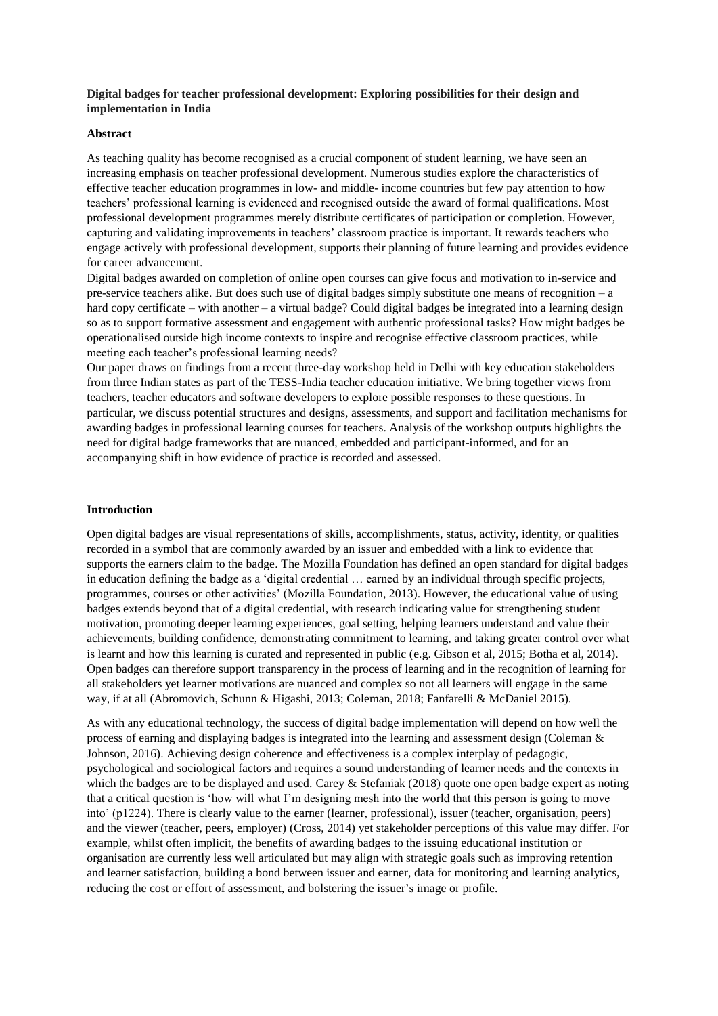## **Digital badges for teacher professional development: Exploring possibilities for their design and implementation in India**

### **Abstract**

As teaching quality has become recognised as a crucial component of student learning, we have seen an increasing emphasis on teacher professional development. Numerous studies explore the characteristics of effective teacher education programmes in low- and middle- income countries but few pay attention to how teachers' professional learning is evidenced and recognised outside the award of formal qualifications. Most professional development programmes merely distribute certificates of participation or completion. However, capturing and validating improvements in teachers' classroom practice is important. It rewards teachers who engage actively with professional development, supports their planning of future learning and provides evidence for career advancement.

Digital badges awarded on completion of online open courses can give focus and motivation to in-service and pre-service teachers alike. But does such use of digital badges simply substitute one means of recognition – a hard copy certificate – with another – a virtual badge? Could digital badges be integrated into a learning design so as to support formative assessment and engagement with authentic professional tasks? How might badges be operationalised outside high income contexts to inspire and recognise effective classroom practices, while meeting each teacher's professional learning needs?

Our paper draws on findings from a recent three-day workshop held in Delhi with key education stakeholders from three Indian states as part of the TESS-India teacher education initiative. We bring together views from teachers, teacher educators and software developers to explore possible responses to these questions. In particular, we discuss potential structures and designs, assessments, and support and facilitation mechanisms for awarding badges in professional learning courses for teachers. Analysis of the workshop outputs highlights the need for digital badge frameworks that are nuanced, embedded and participant-informed, and for an accompanying shift in how evidence of practice is recorded and assessed.

### **Introduction**

Open digital badges are visual representations of skills, accomplishments, status, activity, identity, or qualities recorded in a symbol that are commonly awarded by an issuer and embedded with a link to evidence that supports the earners claim to the badge. The Mozilla Foundation has defined an open standard for digital badges in education defining the badge as a 'digital credential … earned by an individual through specific projects, programmes, courses or other activities' (Mozilla Foundation, 2013). However, the educational value of using badges extends beyond that of a digital credential, with research indicating value for strengthening student motivation, promoting deeper learning experiences, goal setting, helping learners understand and value their achievements, building confidence, demonstrating commitment to learning, and taking greater control over what is learnt and how this learning is curated and represented in public (e.g. Gibson et al, 2015; Botha et al, 2014). Open badges can therefore support transparency in the process of learning and in the recognition of learning for all stakeholders yet learner motivations are nuanced and complex so not all learners will engage in the same way, if at all (Abromovich, Schunn & Higashi, 2013; Coleman, 2018; Fanfarelli & McDaniel 2015).

As with any educational technology, the success of digital badge implementation will depend on how well the process of earning and displaying badges is integrated into the learning and assessment design (Coleman & Johnson, 2016). Achieving design coherence and effectiveness is a complex interplay of pedagogic, psychological and sociological factors and requires a sound understanding of learner needs and the contexts in which the badges are to be displayed and used. Carey & Stefaniak (2018) quote one open badge expert as noting that a critical question is 'how will what I'm designing mesh into the world that this person is going to move into' (p1224). There is clearly value to the earner (learner, professional), issuer (teacher, organisation, peers) and the viewer (teacher, peers, employer) (Cross, 2014) yet stakeholder perceptions of this value may differ. For example, whilst often implicit, the benefits of awarding badges to the issuing educational institution or organisation are currently less well articulated but may align with strategic goals such as improving retention and learner satisfaction, building a bond between issuer and earner, data for monitoring and learning analytics, reducing the cost or effort of assessment, and bolstering the issuer's image or profile.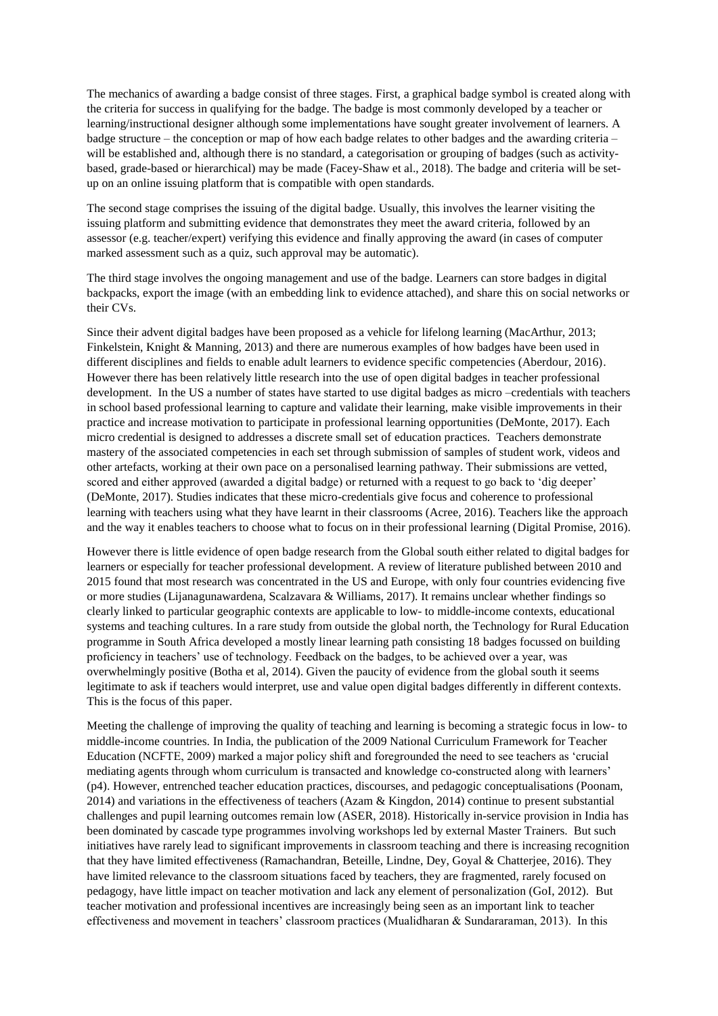The mechanics of awarding a badge consist of three stages. First, a graphical badge symbol is created along with the criteria for success in qualifying for the badge. The badge is most commonly developed by a teacher or learning/instructional designer although some implementations have sought greater involvement of learners. A badge structure – the conception or map of how each badge relates to other badges and the awarding criteria – will be established and, although there is no standard, a categorisation or grouping of badges (such as activitybased, grade-based or hierarchical) may be made (Facey-Shaw et al., 2018). The badge and criteria will be setup on an online issuing platform that is compatible with open standards.

The second stage comprises the issuing of the digital badge. Usually, this involves the learner visiting the issuing platform and submitting evidence that demonstrates they meet the award criteria, followed by an assessor (e.g. teacher/expert) verifying this evidence and finally approving the award (in cases of computer marked assessment such as a quiz, such approval may be automatic).

The third stage involves the ongoing management and use of the badge. Learners can store badges in digital backpacks, export the image (with an embedding link to evidence attached), and share this on social networks or their CVs.

Since their advent digital badges have been proposed as a vehicle for lifelong learning (MacArthur, 2013; Finkelstein, Knight & Manning, 2013) and there are numerous examples of how badges have been used in different disciplines and fields to enable adult learners to evidence specific competencies (Aberdour, 2016). However there has been relatively little research into the use of open digital badges in teacher professional development. In the US a number of states have started to use digital badges as micro –credentials with teachers in school based professional learning to capture and validate their learning, make visible improvements in their practice and increase motivation to participate in professional learning opportunities (DeMonte, 2017). Each micro credential is designed to addresses a discrete small set of education practices. Teachers demonstrate mastery of the associated competencies in each set through submission of samples of student work, videos and other artefacts, working at their own pace on a personalised learning pathway. Their submissions are vetted, scored and either approved (awarded a digital badge) or returned with a request to go back to 'dig deeper' (DeMonte, 2017). Studies indicates that these micro-credentials give focus and coherence to professional learning with teachers using what they have learnt in their classrooms (Acree, 2016). Teachers like the approach and the way it enables teachers to choose what to focus on in their professional learning (Digital Promise, 2016).

However there is little evidence of open badge research from the Global south either related to digital badges for learners or especially for teacher professional development. A review of literature published between 2010 and 2015 found that most research was concentrated in the US and Europe, with only four countries evidencing five or more studies (Lijanagunawardena, Scalzavara & Williams, 2017). It remains unclear whether findings so clearly linked to particular geographic contexts are applicable to low- to middle-income contexts, educational systems and teaching cultures. In a rare study from outside the global north, the Technology for Rural Education programme in South Africa developed a mostly linear learning path consisting 18 badges focussed on building proficiency in teachers' use of technology. Feedback on the badges, to be achieved over a year, was overwhelmingly positive (Botha et al, 2014). Given the paucity of evidence from the global south it seems legitimate to ask if teachers would interpret, use and value open digital badges differently in different contexts. This is the focus of this paper.

Meeting the challenge of improving the quality of teaching and learning is becoming a strategic focus in low- to middle-income countries. In India, the publication of the 2009 National Curriculum Framework for Teacher Education (NCFTE, 2009) marked a major policy shift and foregrounded the need to see teachers as 'crucial mediating agents through whom curriculum is transacted and knowledge co-constructed along with learners' (p4). However, entrenched teacher education practices, discourses, and pedagogic conceptualisations (Poonam, 2014) and variations in the effectiveness of teachers (Azam  $\&$  Kingdon, 2014) continue to present substantial challenges and pupil learning outcomes remain low (ASER, 2018). Historically in-service provision in India has been dominated by cascade type programmes involving workshops led by external Master Trainers. But such initiatives have rarely lead to significant improvements in classroom teaching and there is increasing recognition that they have limited effectiveness (Ramachandran, Beteille, Lindne, Dey, Goyal & Chatterjee, 2016). They have limited relevance to the classroom situations faced by teachers, they are fragmented, rarely focused on pedagogy, have little impact on teacher motivation and lack any element of personalization (GoI, 2012). But teacher motivation and professional incentives are increasingly being seen as an important link to teacher effectiveness and movement in teachers' classroom practices (Mualidharan & Sundararaman, 2013). In this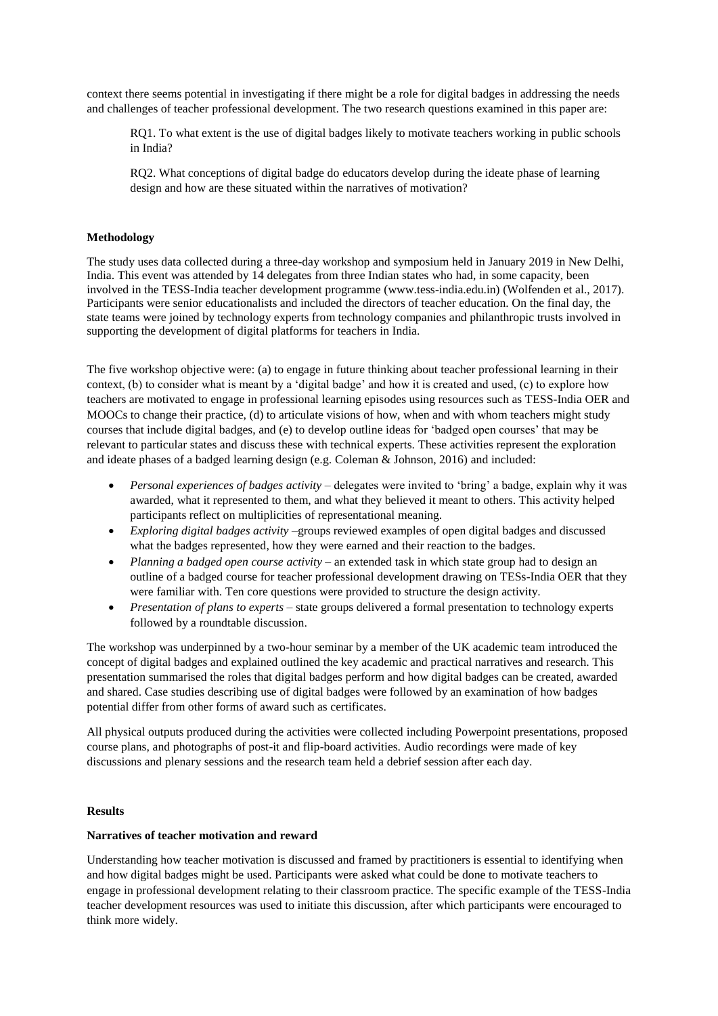context there seems potential in investigating if there might be a role for digital badges in addressing the needs and challenges of teacher professional development. The two research questions examined in this paper are:

RQ1. To what extent is the use of digital badges likely to motivate teachers working in public schools in India?

RQ2. What conceptions of digital badge do educators develop during the ideate phase of learning design and how are these situated within the narratives of motivation?

## **Methodology**

The study uses data collected during a three-day workshop and symposium held in January 2019 in New Delhi, India. This event was attended by 14 delegates from three Indian states who had, in some capacity, been involved in the TESS-India teacher development programme (www.tess-india.edu.in) (Wolfenden et al., 2017). Participants were senior educationalists and included the directors of teacher education. On the final day, the state teams were joined by technology experts from technology companies and philanthropic trusts involved in supporting the development of digital platforms for teachers in India.

The five workshop objective were: (a) to engage in future thinking about teacher professional learning in their context, (b) to consider what is meant by a 'digital badge' and how it is created and used, (c) to explore how teachers are motivated to engage in professional learning episodes using resources such as TESS-India OER and MOOCs to change their practice, (d) to articulate visions of how, when and with whom teachers might study courses that include digital badges, and (e) to develop outline ideas for 'badged open courses' that may be relevant to particular states and discuss these with technical experts. These activities represent the exploration and ideate phases of a badged learning design (e.g. Coleman & Johnson, 2016) and included:

- *Personal experiences of badges activity* delegates were invited to 'bring' a badge, explain why it was awarded, what it represented to them, and what they believed it meant to others. This activity helped participants reflect on multiplicities of representational meaning.
- *Exploring digital badges activity* –groups reviewed examples of open digital badges and discussed what the badges represented, how they were earned and their reaction to the badges.
- Planning a badged open course activity an extended task in which state group had to design an outline of a badged course for teacher professional development drawing on TESs-India OER that they were familiar with. Ten core questions were provided to structure the design activity.
- *Presentation of plans to experts* state groups delivered a formal presentation to technology experts followed by a roundtable discussion.

The workshop was underpinned by a two-hour seminar by a member of the UK academic team introduced the concept of digital badges and explained outlined the key academic and practical narratives and research. This presentation summarised the roles that digital badges perform and how digital badges can be created, awarded and shared. Case studies describing use of digital badges were followed by an examination of how badges potential differ from other forms of award such as certificates.

All physical outputs produced during the activities were collected including Powerpoint presentations, proposed course plans, and photographs of post-it and flip-board activities. Audio recordings were made of key discussions and plenary sessions and the research team held a debrief session after each day.

### **Results**

### **Narratives of teacher motivation and reward**

Understanding how teacher motivation is discussed and framed by practitioners is essential to identifying when and how digital badges might be used. Participants were asked what could be done to motivate teachers to engage in professional development relating to their classroom practice. The specific example of the TESS-India teacher development resources was used to initiate this discussion, after which participants were encouraged to think more widely.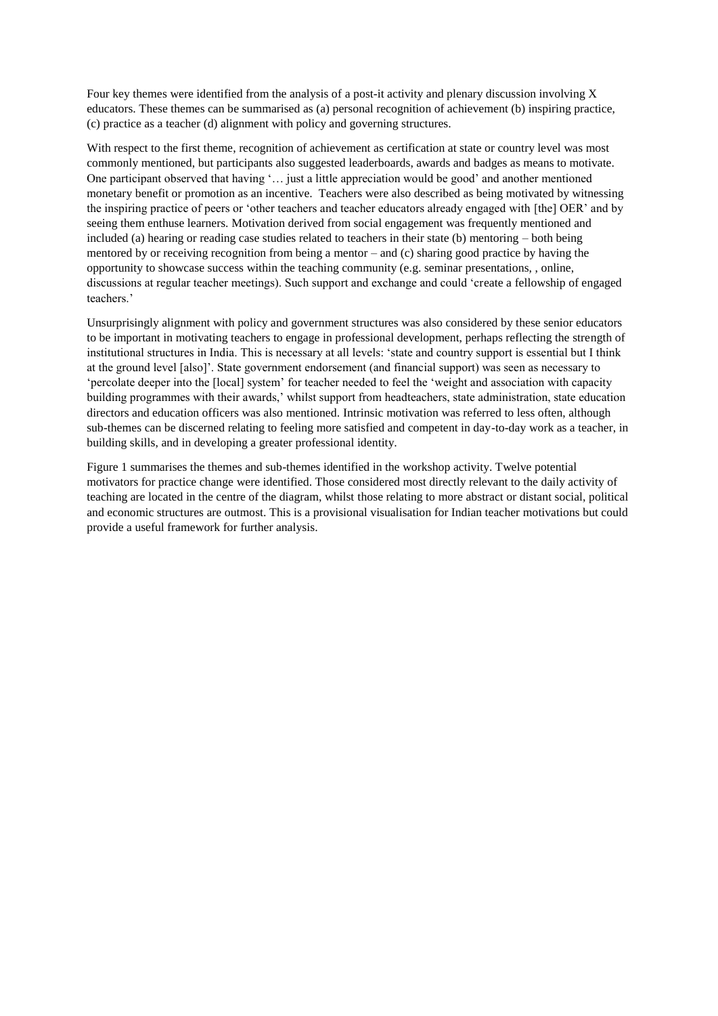Four key themes were identified from the analysis of a post-it activity and plenary discussion involving X educators. These themes can be summarised as (a) personal recognition of achievement (b) inspiring practice, (c) practice as a teacher (d) alignment with policy and governing structures.

With respect to the first theme, recognition of achievement as certification at state or country level was most commonly mentioned, but participants also suggested leaderboards, awards and badges as means to motivate. One participant observed that having '… just a little appreciation would be good' and another mentioned monetary benefit or promotion as an incentive. Teachers were also described as being motivated by witnessing the inspiring practice of peers or 'other teachers and teacher educators already engaged with [the] OER' and by seeing them enthuse learners. Motivation derived from social engagement was frequently mentioned and included (a) hearing or reading case studies related to teachers in their state (b) mentoring – both being mentored by or receiving recognition from being a mentor – and (c) sharing good practice by having the opportunity to showcase success within the teaching community (e.g. seminar presentations, , online, discussions at regular teacher meetings). Such support and exchange and could 'create a fellowship of engaged teachers.'

Unsurprisingly alignment with policy and government structures was also considered by these senior educators to be important in motivating teachers to engage in professional development, perhaps reflecting the strength of institutional structures in India. This is necessary at all levels: 'state and country support is essential but I think at the ground level [also]'. State government endorsement (and financial support) was seen as necessary to 'percolate deeper into the [local] system' for teacher needed to feel the 'weight and association with capacity building programmes with their awards,' whilst support from headteachers, state administration, state education directors and education officers was also mentioned. Intrinsic motivation was referred to less often, although sub-themes can be discerned relating to feeling more satisfied and competent in day-to-day work as a teacher, in building skills, and in developing a greater professional identity.

Figure 1 summarises the themes and sub-themes identified in the workshop activity. Twelve potential motivators for practice change were identified. Those considered most directly relevant to the daily activity of teaching are located in the centre of the diagram, whilst those relating to more abstract or distant social, political and economic structures are outmost. This is a provisional visualisation for Indian teacher motivations but could provide a useful framework for further analysis.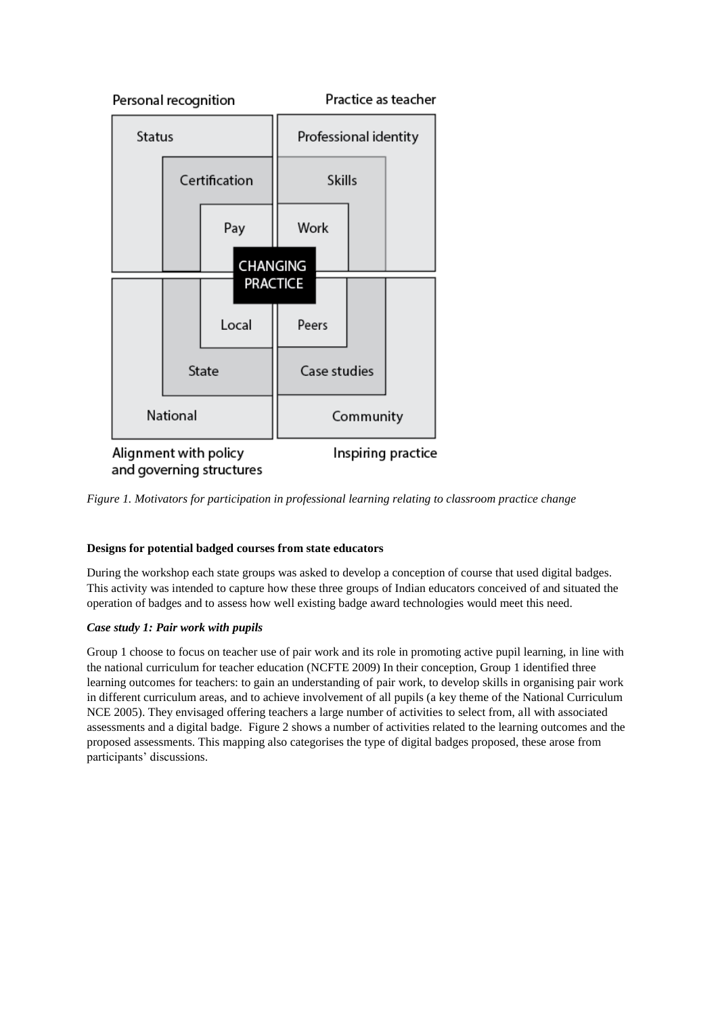

*Figure 1. Motivators for participation in professional learning relating to classroom practice change* 

# **Designs for potential badged courses from state educators**

During the workshop each state groups was asked to develop a conception of course that used digital badges. This activity was intended to capture how these three groups of Indian educators conceived of and situated the operation of badges and to assess how well existing badge award technologies would meet this need.

# *Case study 1: Pair work with pupils*

Group 1 choose to focus on teacher use of pair work and its role in promoting active pupil learning, in line with the national curriculum for teacher education (NCFTE 2009) In their conception, Group 1 identified three learning outcomes for teachers: to gain an understanding of pair work, to develop skills in organising pair work in different curriculum areas, and to achieve involvement of all pupils (a key theme of the National Curriculum NCE 2005). They envisaged offering teachers a large number of activities to select from, all with associated assessments and a digital badge. Figure 2 shows a number of activities related to the learning outcomes and the proposed assessments. This mapping also categorises the type of digital badges proposed, these arose from participants' discussions.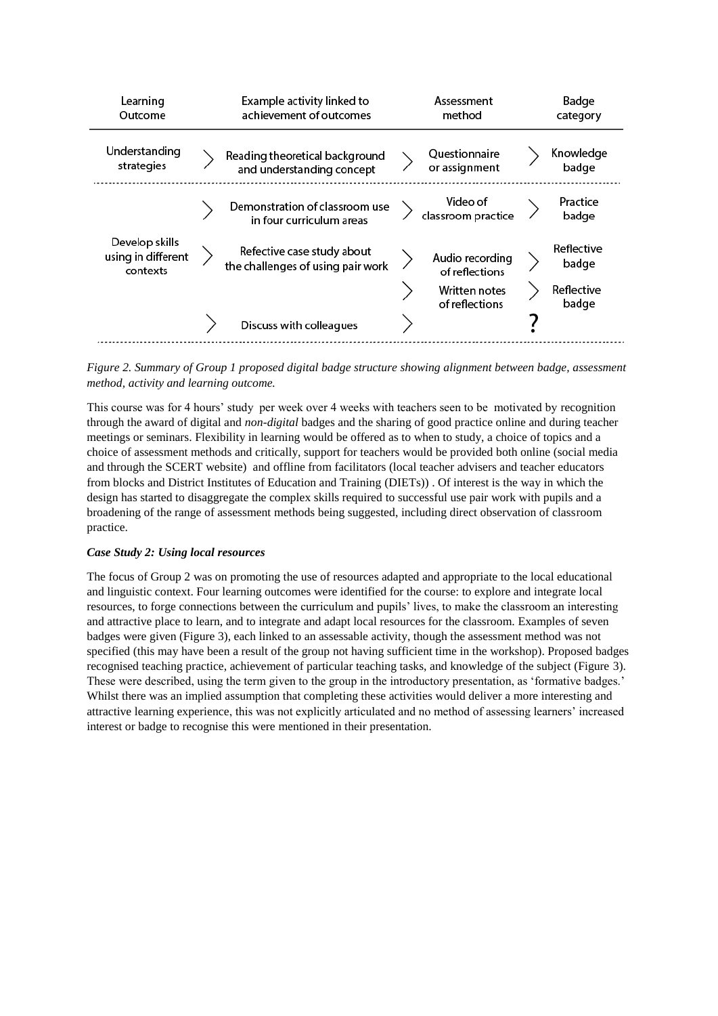| Learning<br>Outcome                              | Example activity linked to<br>achievement of outcomes           | Assessment<br>method                                                 | Badge<br>category                          |
|--------------------------------------------------|-----------------------------------------------------------------|----------------------------------------------------------------------|--------------------------------------------|
| Understanding<br>strategies                      | Reading theoretical background<br>and understanding concept     | Questionnaire<br>or assignment                                       | Knowledge<br>badge                         |
|                                                  | Demonstration of classroom use<br>in four curriculum areas      | Video of<br>classroom practice                                       | Practice<br>badge                          |
| Develop skills<br>using in different<br>contexts | Refective case study about<br>the challenges of using pair work | Audio recording<br>of reflections<br>Written notes<br>of reflections | Reflective<br>badge<br>Reflective<br>badge |
|                                                  | Discuss with colleagues                                         |                                                                      |                                            |

*Figure 2. Summary of Group 1 proposed digital badge structure showing alignment between badge, assessment method, activity and learning outcome.*

This course was for 4 hours' study per week over 4 weeks with teachers seen to be motivated by recognition through the award of digital and *non-digital* badges and the sharing of good practice online and during teacher meetings or seminars. Flexibility in learning would be offered as to when to study, a choice of topics and a choice of assessment methods and critically, support for teachers would be provided both online (social media and through the SCERT website) and offline from facilitators (local teacher advisers and teacher educators from blocks and District Institutes of Education and Training (DIETs)) . Of interest is the way in which the design has started to disaggregate the complex skills required to successful use pair work with pupils and a broadening of the range of assessment methods being suggested, including direct observation of classroom practice.

## *Case Study 2: Using local resources*

The focus of Group 2 was on promoting the use of resources adapted and appropriate to the local educational and linguistic context. Four learning outcomes were identified for the course: to explore and integrate local resources, to forge connections between the curriculum and pupils' lives, to make the classroom an interesting and attractive place to learn, and to integrate and adapt local resources for the classroom. Examples of seven badges were given (Figure 3), each linked to an assessable activity, though the assessment method was not specified (this may have been a result of the group not having sufficient time in the workshop). Proposed badges recognised teaching practice, achievement of particular teaching tasks, and knowledge of the subject (Figure 3). These were described, using the term given to the group in the introductory presentation, as 'formative badges.' Whilst there was an implied assumption that completing these activities would deliver a more interesting and attractive learning experience, this was not explicitly articulated and no method of assessing learners' increased interest or badge to recognise this were mentioned in their presentation.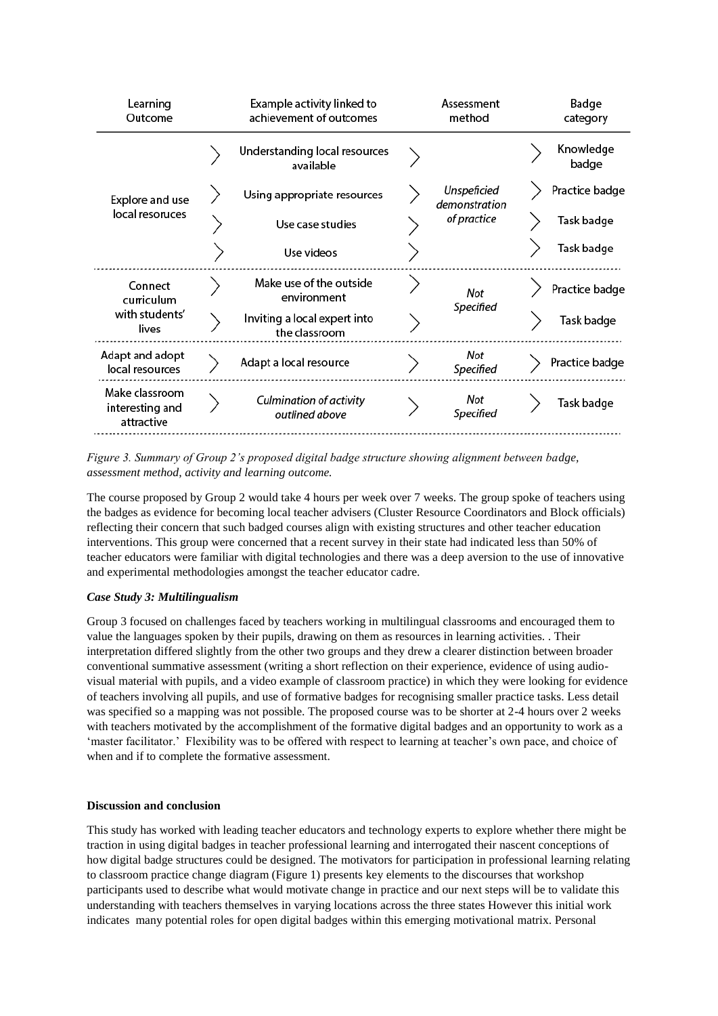| Learning<br>Outcome                              | Example activity linked to<br>achievement of outcomes |  | Assessment<br>method                        | Badge<br>category  |
|--------------------------------------------------|-------------------------------------------------------|--|---------------------------------------------|--------------------|
| Explore and use<br>local resoruces               | Understanding local resources<br>available            |  | Unspeficied<br>demonstration<br>of practice | Knowledge<br>badge |
|                                                  | Using appropriate resources                           |  |                                             | Practice badge     |
|                                                  | Use case studies                                      |  |                                             | Task badge         |
|                                                  | Use videos                                            |  |                                             | Task badge         |
| Connect<br>curriculum<br>with students'<br>lives | Make use of the outside<br>environment                |  | Not<br>Specified                            | Practice badge     |
|                                                  | Inviting a local expert into<br>the classroom         |  |                                             | Task badge         |
| Adapt and adopt<br>local resources               | Adapt a local resource                                |  | Not<br>Specified                            | Practice badge     |
| Make classroom<br>interesting and<br>attractive  | <b>Culmination of activity</b><br>outlined above      |  | Not<br>Specified                            | Task badge         |

*Figure 3. Summary of Group 2's proposed digital badge structure showing alignment between badge, assessment method, activity and learning outcome.*

The course proposed by Group 2 would take 4 hours per week over 7 weeks. The group spoke of teachers using the badges as evidence for becoming local teacher advisers (Cluster Resource Coordinators and Block officials) reflecting their concern that such badged courses align with existing structures and other teacher education interventions. This group were concerned that a recent survey in their state had indicated less than 50% of teacher educators were familiar with digital technologies and there was a deep aversion to the use of innovative and experimental methodologies amongst the teacher educator cadre.

## *Case Study 3: Multilingualism*

Group 3 focused on challenges faced by teachers working in multilingual classrooms and encouraged them to value the languages spoken by their pupils, drawing on them as resources in learning activities. . Their interpretation differed slightly from the other two groups and they drew a clearer distinction between broader conventional summative assessment (writing a short reflection on their experience, evidence of using audiovisual material with pupils, and a video example of classroom practice) in which they were looking for evidence of teachers involving all pupils, and use of formative badges for recognising smaller practice tasks. Less detail was specified so a mapping was not possible. The proposed course was to be shorter at 2-4 hours over 2 weeks with teachers motivated by the accomplishment of the formative digital badges and an opportunity to work as a 'master facilitator.' Flexibility was to be offered with respect to learning at teacher's own pace, and choice of when and if to complete the formative assessment.

## **Discussion and conclusion**

This study has worked with leading teacher educators and technology experts to explore whether there might be traction in using digital badges in teacher professional learning and interrogated their nascent conceptions of how digital badge structures could be designed. The motivators for participation in professional learning relating to classroom practice change diagram (Figure 1) presents key elements to the discourses that workshop participants used to describe what would motivate change in practice and our next steps will be to validate this understanding with teachers themselves in varying locations across the three states However this initial work indicates many potential roles for open digital badges within this emerging motivational matrix. Personal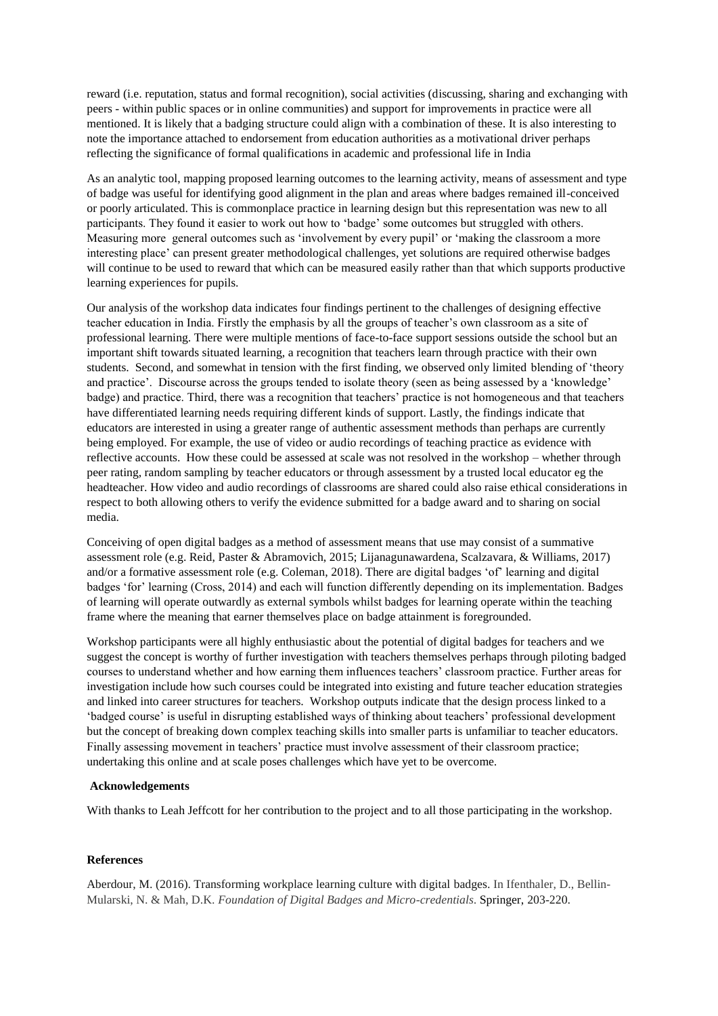reward (i.e. reputation, status and formal recognition), social activities (discussing, sharing and exchanging with peers - within public spaces or in online communities) and support for improvements in practice were all mentioned. It is likely that a badging structure could align with a combination of these. It is also interesting to note the importance attached to endorsement from education authorities as a motivational driver perhaps reflecting the significance of formal qualifications in academic and professional life in India

As an analytic tool, mapping proposed learning outcomes to the learning activity, means of assessment and type of badge was useful for identifying good alignment in the plan and areas where badges remained ill-conceived or poorly articulated. This is commonplace practice in learning design but this representation was new to all participants. They found it easier to work out how to 'badge' some outcomes but struggled with others. Measuring more general outcomes such as 'involvement by every pupil' or 'making the classroom a more interesting place' can present greater methodological challenges, yet solutions are required otherwise badges will continue to be used to reward that which can be measured easily rather than that which supports productive learning experiences for pupils.

Our analysis of the workshop data indicates four findings pertinent to the challenges of designing effective teacher education in India. Firstly the emphasis by all the groups of teacher's own classroom as a site of professional learning. There were multiple mentions of face-to-face support sessions outside the school but an important shift towards situated learning, a recognition that teachers learn through practice with their own students. Second, and somewhat in tension with the first finding, we observed only limited blending of 'theory and practice'. Discourse across the groups tended to isolate theory (seen as being assessed by a 'knowledge' badge) and practice. Third, there was a recognition that teachers' practice is not homogeneous and that teachers have differentiated learning needs requiring different kinds of support. Lastly, the findings indicate that educators are interested in using a greater range of authentic assessment methods than perhaps are currently being employed. For example, the use of video or audio recordings of teaching practice as evidence with reflective accounts. How these could be assessed at scale was not resolved in the workshop – whether through peer rating, random sampling by teacher educators or through assessment by a trusted local educator eg the headteacher. How video and audio recordings of classrooms are shared could also raise ethical considerations in respect to both allowing others to verify the evidence submitted for a badge award and to sharing on social media.

Conceiving of open digital badges as a method of assessment means that use may consist of a summative assessment role (e.g. Reid, Paster & Abramovich, 2015; Lijanagunawardena, Scalzavara, & Williams, 2017) and/or a formative assessment role (e.g. Coleman, 2018). There are digital badges 'of' learning and digital badges 'for' learning (Cross, 2014) and each will function differently depending on its implementation. Badges of learning will operate outwardly as external symbols whilst badges for learning operate within the teaching frame where the meaning that earner themselves place on badge attainment is foregrounded.

Workshop participants were all highly enthusiastic about the potential of digital badges for teachers and we suggest the concept is worthy of further investigation with teachers themselves perhaps through piloting badged courses to understand whether and how earning them influences teachers' classroom practice. Further areas for investigation include how such courses could be integrated into existing and future teacher education strategies and linked into career structures for teachers. Workshop outputs indicate that the design process linked to a 'badged course' is useful in disrupting established ways of thinking about teachers' professional development but the concept of breaking down complex teaching skills into smaller parts is unfamiliar to teacher educators. Finally assessing movement in teachers' practice must involve assessment of their classroom practice; undertaking this online and at scale poses challenges which have yet to be overcome.

## **Acknowledgements**

With thanks to Leah Jeffcott for her contribution to the project and to all those participating in the workshop.

### **References**

Aberdour, M. (2016). Transforming workplace learning culture with digital badges. In Ifenthaler, D., Bellin-Mularski, N. & Mah, D.K. *Foundation of Digital Badges and Micro-credentials*. Springer, 203-220.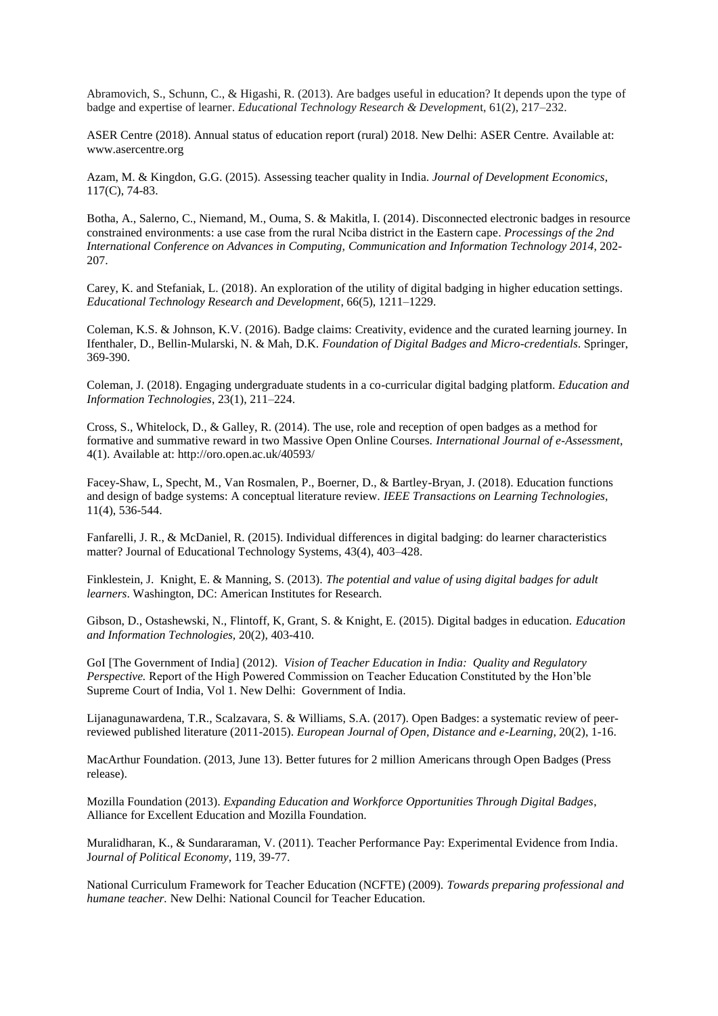Abramovich, S., Schunn, C., & Higashi, R. (2013). Are badges useful in education? It depends upon the type of badge and expertise of learner. *Educational Technology Research & Developmen*t, 61(2), 217–232.

ASER Centre (2018). Annual status of education report (rural) 2018. New Delhi: ASER Centre. Available at: www.asercentre.org

Azam, M. & Kingdon, G.G. (2015). Assessing teacher quality in India. *Journal of Development Economics*, 117(C), 74-83.

Botha, A., Salerno, C., Niemand, M., Ouma, S. & Makitla, I. (2014). Disconnected electronic badges in resource constrained environments: a use case from the rural Nciba district in the Eastern cape. *Processings of the 2nd International Conference on Advances in Computing, Communication and Information Technology 2014*, 202- 207.

Carey, K. and Stefaniak, L. (2018). An exploration of the utility of digital badging in higher education settings. *Educational Technology Research and Development*, 66(5), 1211–1229.

Coleman, K.S. & Johnson, K.V. (2016). Badge claims: Creativity, evidence and the curated learning journey. In Ifenthaler, D., Bellin-Mularski, N. & Mah, D.K. *Foundation of Digital Badges and Micro-credentials*. Springer, 369-390.

Coleman, J. (2018). Engaging undergraduate students in a co-curricular digital badging platform. *Education and Information Technologies*, 23(1), 211–224.

Cross, S., Whitelock, D., & Galley, R. (2014). The use, role and reception of open badges as a method for formative and summative reward in two Massive Open Online Courses. *International Journal of e-Assessment*, 4(1). Available at: http://oro.open.ac.uk/40593/

Facey-Shaw, L, Specht, M., Van Rosmalen, P., Boerner, D., & Bartley-Bryan, J. (2018). Education functions and design of badge systems: A conceptual literature review. *IEEE Transactions on Learning Technologies,*  11(4), 536-544.

Fanfarelli, J. R., & McDaniel, R. (2015). Individual differences in digital badging: do learner characteristics matter? Journal of Educational Technology Systems, 43(4), 403–428.

Finklestein, J. Knight, E. & Manning, S. (2013). *The potential and value of using digital badges for adult learners*. Washington, DC: American Institutes for Research.

Gibson, D., Ostashewski, N., Flintoff, K, Grant, S. & Knight, E. (2015). Digital badges in education. *Education and Information Technologies,* 20(2), 403-410.

GoI [The Government of India] (2012). *Vision of Teacher Education in India: Quality and Regulatory Perspective.* Report of the High Powered Commission on Teacher Education Constituted by the Hon'ble Supreme Court of India, Vol 1. New Delhi: Government of India.

Lijanagunawardena, T.R., Scalzavara, S. & Williams, S.A. (2017). Open Badges: a systematic review of peerreviewed published literature (2011-2015). *European Journal of Open, Distance and e-Learning*, 20(2), 1-16.

MacArthur Foundation. (2013, June 13). Better futures for 2 million Americans through Open Badges (Press release).

Mozilla Foundation (2013). *Expanding Education and Workforce Opportunities Through Digital Badges*, Alliance for Excellent Education and Mozilla Foundation.

Muralidharan, K., & Sundararaman, V. (2011). Teacher Performance Pay: Experimental Evidence from India. J*ournal of Political Economy*, 119, 39-77.

National Curriculum Framework for Teacher Education (NCFTE) (2009). *Towards preparing professional and humane teacher.* New Delhi: National Council for Teacher Education.